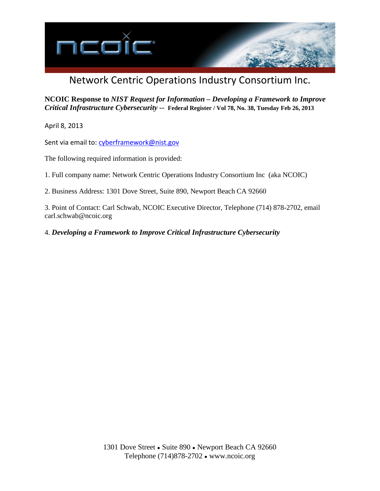

# Network Centric Operations Industry Consortium Inc.

**NCOIC Response to** *NIST Request for Information – Developing a Framework to Improve Critical Infrastructure Cybersecurity --* **Federal Register / Vol 78, No. 38, Tuesday Feb 26, 2013**

April 8, 2013

Sent via email to: [cyberframework@nist.gov](mailto:cyberframework@nist.gov)

The following required information is provided:

1. Full company name: Network Centric Operations Industry Consortium Inc (aka NCOIC)

2. Business Address: 1301 Dove Street, Suite 890, Newport Beach CA 92660

3. Point of Contact: Carl Schwab, NCOIC Executive Director, Telephone (714) 878-2702, email carl.schwab@ncoic.org

4. *Developing a Framework to Improve Critical Infrastructure Cybersecurity*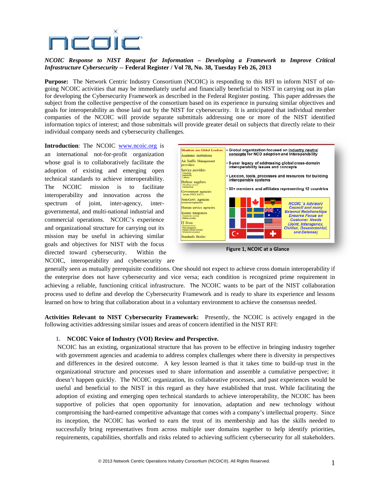

### *NCOIC Response to NIST Request for Information – Developing a Framework to Improve Critical Infrastructure Cybersecurity --* **Federal Register / Vol 78, No. 38, Tuesday Feb 26, 2013**

**Purpose:** The Network Centric Industry Consortium (NCOIC) is responding to this RFI to inform NIST of ongoing NCOIC activities that may be immediately useful and financially beneficial to NIST in carrying out its plan for developing the Cybersecurity Framework as described in the Federal Register posting. This paper addresses the subject from the collective perspective of the consortium based on its experience in pursuing similar objectives and goals for interoperability as those laid out by the NIST for cybersecurity. It is anticipated that individual member companies of the NCOIC will provide separate submittals addressing one or more of the NIST identified information topics of interest; and those submittals will provide greater detail on subjects that directly relate to their individual company needs and cybersecurity challenges.

**Introduction**: The NCOIC [www.ncoic.org](http://www.ncoic.org/) is

an international not-for-profit organization whose goal is to collaboratively facilitate the adoption of existing and emerging open technical standards to achieve interoperability. The NCOIC mission is to facilitate interoperability and innovation across the spectrum of joint, inter-agency, intergovernmental, and multi-national industrial and commercial operations. NCOIC's experience and organizational structure for carrying out its mission may be useful in achieving similar goals and objectives for NIST with the focus directed toward cybersecurity. Within the NCOIC, interoperability and cybersecurity are



**Figure 1, NCOIC at a Glance**

generally seen as mutually prerequisite conditions. One should not expect to achieve cross domain interoperability if the enterprise does not have cybersecurity and vice versa; each condition is recognized prime requirement in achieving a reliable, functioning critical infrastructure. The NCOIC wants to be part of the NIST collaboration process used to define and develop the Cybersecurity Framework and is ready to share its experience and lessons learned on how to bring that collaboration about in a voluntary environment to achieve the consensus needed.

**Activities Relevant to NIST Cybersecurity Framework:** Presently, the NCOIC is actively engaged in the following activities addressing similar issues and areas of concern identified in the NIST RFI:

## **1. NCOIC Voice of Industry (VOI) Review and Perspective.**

NCOIC has an existing, organizational structure that has proven to be effective in bringing industry together with government agencies and academia to address complex challenges where there is diversity in perspectives and differences in the desired outcome. A key lesson learned is that it takes time to build-up trust in the organizational structure and processes used to share information and assemble a cumulative perspective; it doesn't happen quickly. The NCOIC organization, its collaborative processes, and past experiences would be useful and beneficial to the NIST in this regard as they have established that trust. While facilitating the adoption of existing and emerging open technical standards to achieve interoperability, the NCOIC has been supportive of policies that open opportunity for innovation, adaptation and new technology without compromising the hard-earned competitive advantage that comes with a company's intellectual property. Since its inception, the NCOIC has worked to earn the trust of its membership and has the skills needed to successfully bring representatives from across multiple user domains together to help identify priorities, requirements, capabilities, shortfalls and risks related to achieving sufficient cybersecurity for all stakeholders.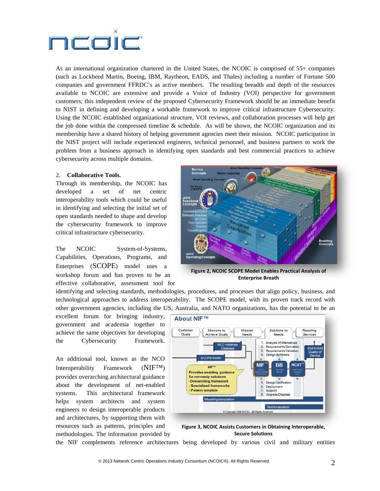

As an international organization chartered in the United States, the NCOIC is comprised of 55+ companies (such as Lockheed Martin, Boeing, IBM, Raytheon, EADS, and Thales) including a number of Fortune 500 companies and government FFRDC's as active members. The resulting breadth and depth of the resources available to NCOIC are extensive and provide a Voice of Industry (VOI) perspective for government customers; this independent review of the proposed Cybersecurity Framework should be an immediate benefit to NIST in defining and developing a workable framework to improve critical infrastructure Cybersecurity. Using the NCOIC established organizational structure, VOI reviews, and collaboration processes will help get the job done within the compressed timeline  $\&$  schedule. As will be shown, the NCOIC organization and its membership have a shared history of helping government agencies meet their mission. NCOIC participation in the NIST project will include experienced engineers, technical personnel, and business partners to work the problem from a business approach in identifying open standards and best commercial practices to achieve cybersecurity across multiple domains.

#### **2. Collaborative Tools.**

Through its membership, the NCOIC has developed a set of net centric interoperability tools which could be useful in identifying and selecting the initial set of open standards needed to shape and develop the cybersecurity framework to improve critical infrastructure cybersecurity.

The NCOIC System-of-Systems, Capabilities, Operations, Programs, and Enterprises [\(SCOPE\)](https://www.ncoic.org/technology/deliverables/scope/) model uses a workshop forum and has proven to be an effective collaborative, assessment tool for



**Figure 2, NCOIC SCOPE Model Enables Practical Analysis of Enterprise Breath**

identifying and selecting standards, methodologies, procedures, and processes that align policy, business, and technological approaches to address interoperability. The SCOPE model, with its proven track record with other government agencies, including the US, Australia, and NATO organizations, has the potential to be an

excellent forum for bringing industry, government and academia together to achieve the same objectives for developing the Cybersecurity Framework.

An additional tool, known as the NCO Interoperability Framework [\(NIF™\)](https://www.ncoic.org/technology/deliverables/ifg/) provides overarching architectural guidance about the development of net-enabled systems. This architectural framework helps system architects and system engineers to design interoperable products and architectures, by supporting them with resources such as patterns, principles and methodologies. The information provided by



**Figure 3, NCOIC Assists Customers in Obtaining Interoperable, Secure Solutions**

the NIF complements reference architectures being developed by various civil and military entities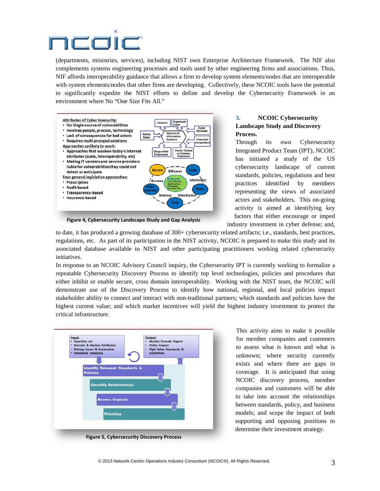

(departments, ministries, services), including NIST own Enterprise Architecture Framework. The NIF also complements systems engineering processes and tools used by other engineering firms and associations. Thus, NIF affords interoperability guidance that allows a firm to develop system elements/nodes that are interoperable with system elements/nodes that other firms are developing. Collectively, these NCOIC tools have the potential to significantly expedite the NIST efforts to define and develop the Cybersecurity Framework in an environment where No "One Size Fits All."



**Figure 4, Cybersecurity Landscape Study and Gap Analysis**

## **3. NCOIC Cybersecurity Landscape Study and Discovery Process.**

Through its own Cybersecurity Integrated Product Team (IPT), NCOIC has initiated a study of the US cybersecurity landscape of current standards, policies, regulations and best practices identified by members representing the views of associated actors and stakeholders. This on-going activity is aimed at identifying key factors that either encourage or imped

industry investment in cyber defense; and,

to date, it has produced a growing database of 300+ cybersecurity related artifacts; i.e., standards, best practices, regulations, etc. As part of its participation in the NIST activity, NCOIC is prepared to make this study and its associated database available to NIST and other participating practitioners working related cybersecurity initiatives.

In response to an NCOIC Advisory Council inquiry, the Cybersecurity IPT is currently working to formalize a repeatable Cybersecurity Discovery Process to identify top level technologies, policies and procedures that either inhibit or enable secure, cross domain interoperability. Working with the NIST team, the NCOIC will demonstrate use of the Discovery Process to identify how national, regional, and local policies impact stakeholder ability to connect and interact with non-traditional partners; which standards and policies have the highest current value; and which market incentives will yield the highest industry investment to protect the critical infrastructure.



**Figure 5, Cybersecurity Discovery Process**

This activity aims to make it possible for member companies and customers to assess what is known and what is unknown; where security currently exists and where there are gaps in coverage. It is anticipated that using NCOIC discovery process, member companies and customers will be able to take into account the relationships between standards, policy, and business models; and scope the impact of both supporting and opposing positions to determine their investment strategy.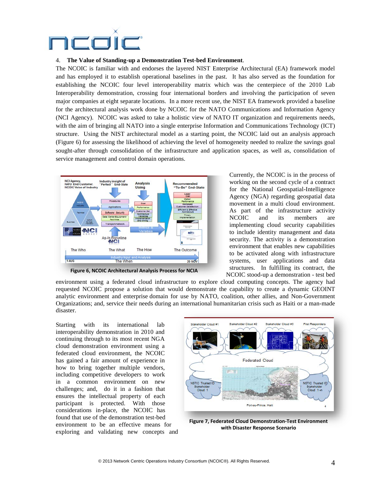

#### 4. **The Value of Standing-up a Demonstration Test-bed Environment**.

The NCOIC is familiar with and endorses the layered NIST Enterprise Architectural (EA) framework model and has employed it to establish operational baselines in the past. It has also served as the foundation for establishing the NCOIC four level interoperability matrix which was the centerpiece of the 2010 Lab Interoperability demonstration, crossing four international borders and involving the participation of seven major companies at eight separate locations. In a more recent use, the NIST EA framework provided a baseline for the architectural analysis work done by NCOIC for the NATO Communications and Information Agency (NCI Agency). NCOIC was asked to take a holistic view of NATO IT organization and requirements needs, with the aim of bringing all NATO into a single enterprise Information and Communications Technology (ICT) structure. Using the NIST architectural model as a starting point, the NCOIC laid out an analysis approach (Figure 6) for assessing the likelihood of achieving the level of homogeneity needed to realize the savings goal sought-after through consolidation of the infrastructure and application spaces, as well as, consolidation of service management and control domain operations.



**Figure 6, NCOIC Architectural Analysis Process for NCIA**

Currently, the NCOIC is in the process of working on the second cycle of a contract for the National Geospatial-Intelligence Agency (NGA) regarding geospatial data movement in a multi cloud environment. As part of the infrastructure activity NCOIC and its members are implementing cloud security capabilities to include identity management and data security. The activity is a demonstration environment that enables new capabilities to be activated along with infrastructure systems, user applications and data structures. In fulfilling its contract, the NCOIC stood-up a demonstration - test bed

environment using a federated cloud infrastructure to explore cloud computing concepts. The agency had requested NCOIC propose a solution that would demonstrate the capability to create a dynamic GEOINT analytic environment and enterprise domain for use by NATO, coalition, other allies, and Non-Government Organizations; and, service their needs during an international humanitarian crisis such as Haiti or a man-made disaster.

Starting with its international lab interoperability demonstration in 2010 and continuing through to its most recent NGA cloud demonstration environment using a federated cloud environment, the NCOIC has gained a fair amount of experience in how to bring together multiple vendors, including competitive developers to work in a common environment on new challenges; and, do it in a fashion that ensures the intellectual property of each participant is protected. With those considerations in-place, the NCOIC has found that use of the demonstration test-bed environment to be an effective means for exploring and validating new concepts and



**Figure 7, Federated Cloud Demonstration-Test Environment with Disaster Response Scenario**